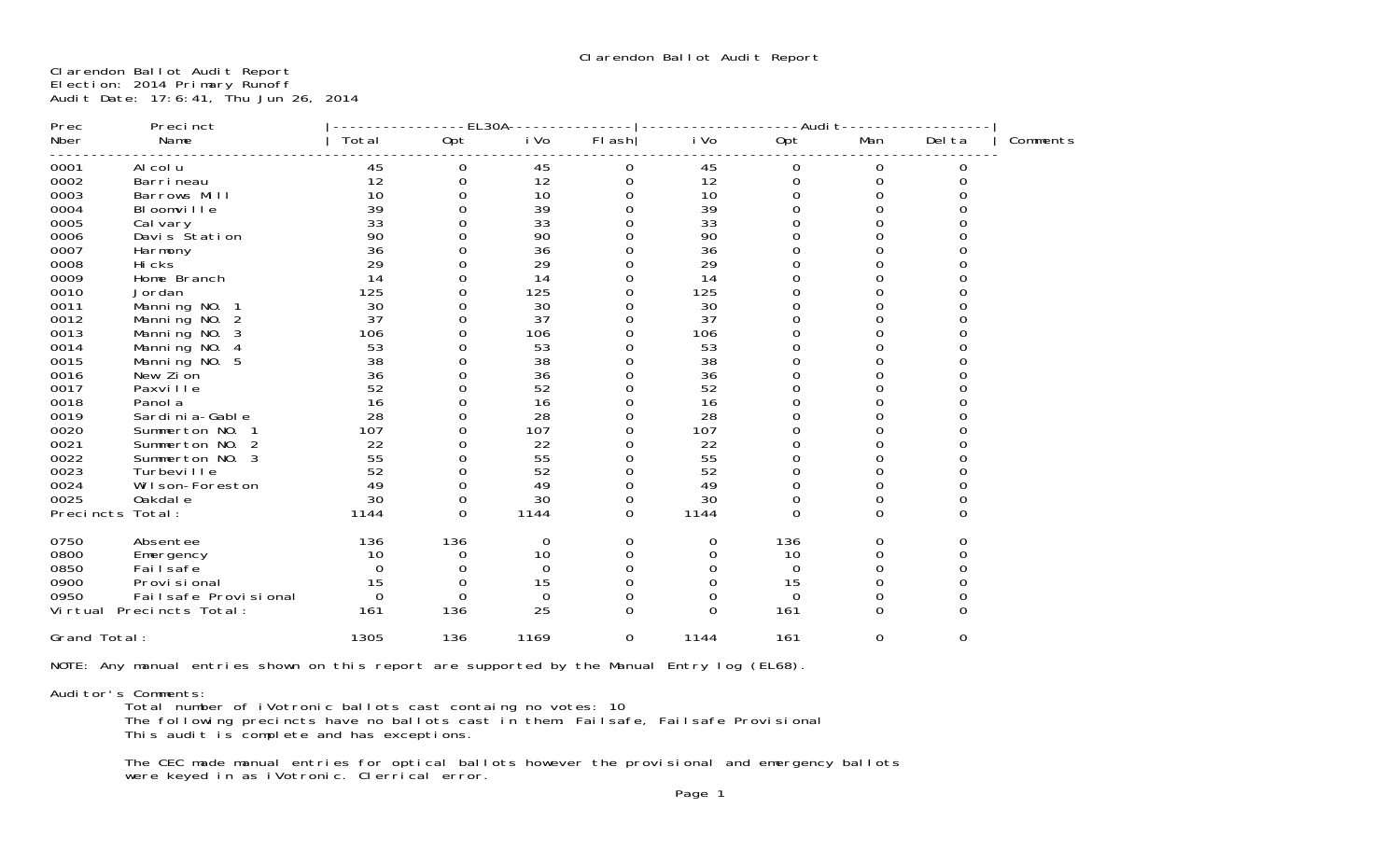Clarendon Ballot Audit Report Election: 2014 Primary Runoff Audit Date: 17:6:41, Thu Jun 26, 2014

| Prec         | Precinct                 |          | EL30A    |             |                |          | -Audi †     |          |          |          |
|--------------|--------------------------|----------|----------|-------------|----------------|----------|-------------|----------|----------|----------|
| Nber         | Name                     | Total    | Opt      | i Vo        | FI ash         | i Vo     | 0pt         | Man      | Del ta   | Comments |
| 0001         | Al col u                 | 45       | 0        | 45          | 0              | 45       | 0           | 0        | 0        |          |
| 0002         | Barri neau               | 12       | $\Omega$ | 12          | 0              | 12       | 0           | 0        | 0        |          |
| 0003         | Barrows Mill             | 10       | ი        | 10          | ი              | 10       | O           |          |          |          |
| 0004         | Bloomville               | 39       |          | 39          |                | 39       | O           | U        |          |          |
| 0005         | Cal vary                 | 33       |          | 33          |                | 33       | O           |          |          |          |
| 0006         | Davis Station            | 90       |          | 90          |                | 90       | 0           | U        |          |          |
| 0007         | Harmony                  | 36       |          | 36          | ი              | 36       | 0           | O        |          |          |
| 0008         | Hi cks                   | 29       |          | 29          | ი              | 29       | U           |          |          |          |
| 0009         | Home Branch              | 14       |          | 14          | ი              | 14       |             |          |          |          |
| 0010         | Jordan                   | 125      |          | 125         |                | 125      |             |          |          |          |
| 0011         | Manning NO.              | 30       |          | 30          |                | 30       | 0           | O        |          |          |
| 0012         | Manning NO.<br>2         | 37       |          | 37          |                | 37       | 0           |          |          |          |
| 0013         | Manning NO.<br>3         | 106      |          | 106         |                | 106      | 0           |          |          |          |
| 0014         | Manning NO.              | 53       |          | 53          |                | 53       |             |          |          |          |
| 0015         | Manning NO.<br>-5        | 38       |          | 38          |                | 38       |             |          |          |          |
| 0016         | New Zion                 | 36       |          | 36          |                | 36       |             |          |          |          |
| 0017         | Paxville                 | 52       |          | 52          |                | 52       | 0           | 0        |          |          |
| 0018         | Panol a                  | 16       |          | 16          |                | 16       | 0           | 0        |          |          |
| 0019         | Sardi ni a-Gabl e        | 28       |          | 28          |                | 28       | 0           | 0        |          |          |
| 0020         | Summerton NO.            | 107      | 0        | 107         | 0              | 107      | 0           | 0        |          |          |
| 0021         | Summerton NO.<br>2       | 22       |          | 22          | ი              | 22       | 0           | 0        |          |          |
| 0022         | Summerton NO. 3          | 55       | ი        | 55          | 0              | 55       | 0           | 0        |          |          |
| 0023         | Turbeville               | 52       |          | 52          | 0              | 52       | 0           | 0        |          |          |
| 0024         | Wilson-Foreston          | 49       |          | 49          | ი              | 49       | 0           | 0        |          |          |
| 0025         | Oakdal e                 | 30       | O        | 30          | 0              | 30       | 0           | 0        |          |          |
| Precincts    | Total:                   | 1144     | $\Omega$ | 1144        | $\Omega$       | 1144     | $\Omega$    | 0        | $\Omega$ |          |
| 0750         | Absentee                 | 136      | 136      | 0           | 0              | 0        | 136         | 0        |          |          |
| 0800         | Emergency                | 10       | 0        | 10          | 0              | 0        | 10          | 0        |          |          |
| 0850         | Fai I safe               | 0        | 0        | $\mathbf 0$ | 0              | 0        | 0           | $\Omega$ |          |          |
| 0900         | Provi si onal            | 15       | $\Omega$ | 15          | 0              | 0        | 15          | 0        |          |          |
| 0950         | Failsafe Provisional     | $\Omega$ | 0        | 0           | 0              | 0        | $\mathbf 0$ | 0        |          |          |
|              | Virtual Precincts Total: | 161      | 136      | 25          | $\overline{0}$ | $\Omega$ | 161         | $\Omega$ | $\Omega$ |          |
| Grand Total: |                          | 1305     | 136      | 1169        | 0              | 1144     | 161         | 0        | 0        |          |
|              |                          |          |          |             |                |          |             |          |          |          |

NOTE: Any manual entries shown on this report are supported by the Manual Entry log (EL68).

## Auditor's Comments:

 Total number of iVotronic ballots cast containg no votes: 10 The following precincts have no ballots cast in them: Failsafe, Failsafe Provisional This audit is complete and has exceptions.

 The CEC made manual entries for optical ballots however the provisional and emergency ballots were keyed in as iVotronic. Clerrical error.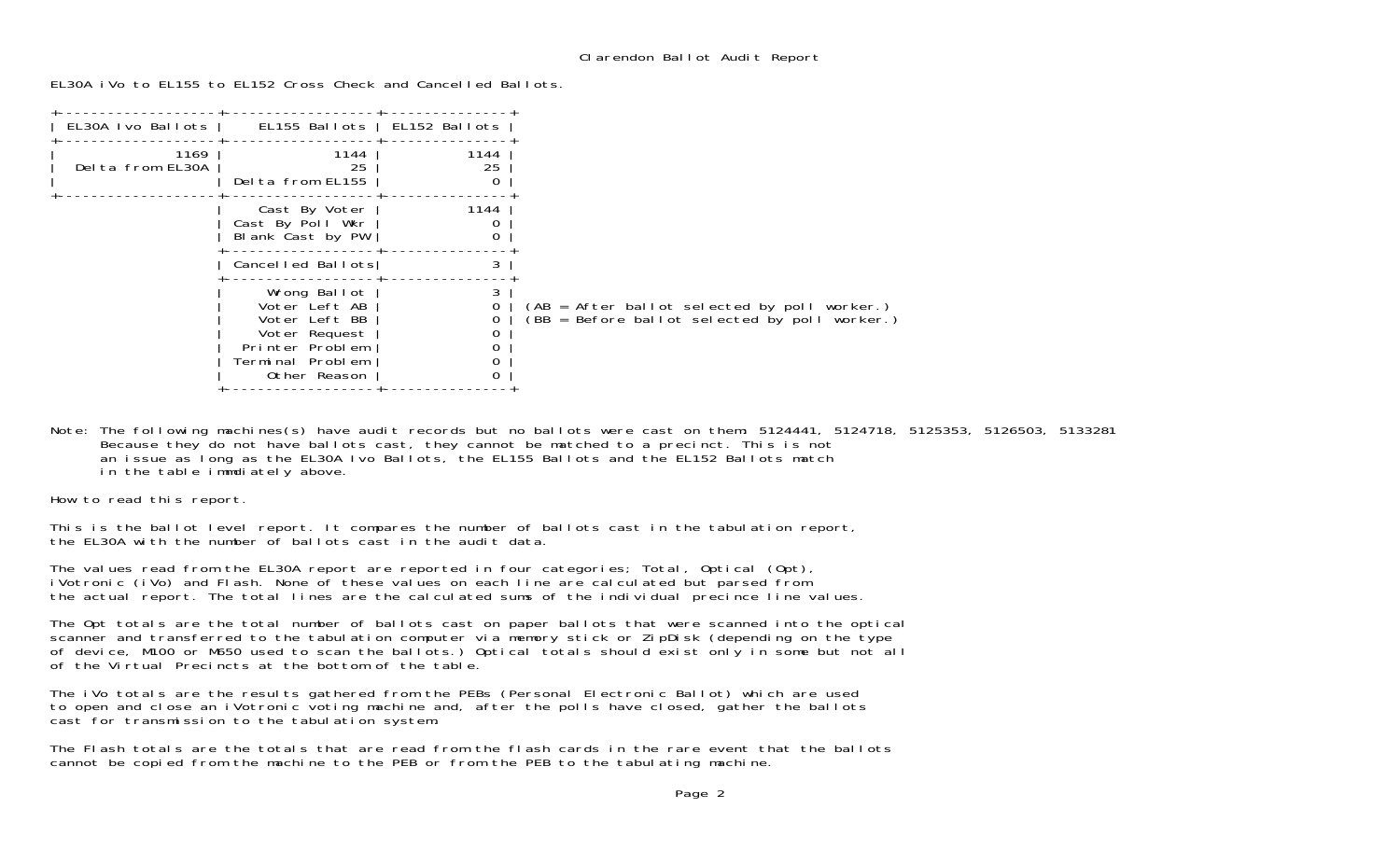EL30A iVo to EL155 to EL152 Cross Check and Cancelled Ballots.

| EL30A Ivo Ballots        | EL155 Ballots   EL152 Ballots                                                                                          |                                 |                                                                                               |
|--------------------------|------------------------------------------------------------------------------------------------------------------------|---------------------------------|-----------------------------------------------------------------------------------------------|
| 1169<br>Delta from EL30A | 1144<br>25<br>Delta from EL155                                                                                         | 1144<br>25<br>$\Omega$          |                                                                                               |
|                          | Cast By Voter<br>Cast By Poll Wkr<br>Blank Cast by PW                                                                  | 1144<br>0<br>0                  |                                                                                               |
|                          | Cancelled Ballots                                                                                                      | 3                               |                                                                                               |
|                          | Wrong Ballot<br>Voter Left AB<br>Voter Left BB<br>Voter Request<br>Printer Problem<br>Terminal Problem<br>Other Reason | 3<br>0<br>0<br>0<br>0<br>0<br>0 | (AB = After ballot selected by poll worker.)<br>(BB = Before ballot selected by poll worker.) |

Note: The following machines(s) have audit records but no ballots were cast on them: 5124441, 5124718, 5125353, 5126503, 5133281 Because they do not have ballots cast, they cannot be matched to a precinct. This is not an issue as long as the EL30A Ivo Ballots, the EL155 Ballots and the EL152 Ballots match in the table immdiately above.

How to read this report.

This is the ballot level report. It compares the number of ballots cast in the tabulation report, the EL30A with the number of ballots cast in the audit data.

The values read from the EL30A report are reported in four categories; Total, Optical (Opt), iVotronic (iVo) and Flash. None of these values on each line are calculated but parsed from the actual report. The total lines are the calculated sums of the individual precince line values.

The Opt totals are the total number of ballots cast on paper ballots that were scanned into the optical scanner and transferred to the tabulation computer via memory stick or ZipDisk (depending on the type of device, M100 or M650 used to scan the ballots.) Optical totals should exist only in some but not all of the Virtual Precincts at the bottom of the table.

The iVo totals are the results gathered from the PEBs (Personal Electronic Ballot) which are used to open and close an iVotronic voting machine and, after the polls have closed, gather the ballots cast for transmission to the tabulation system.

The Flash totals are the totals that are read from the flash cards in the rare event that the ballotscannot be copied from the machine to the PEB or from the PEB to the tabulating machine.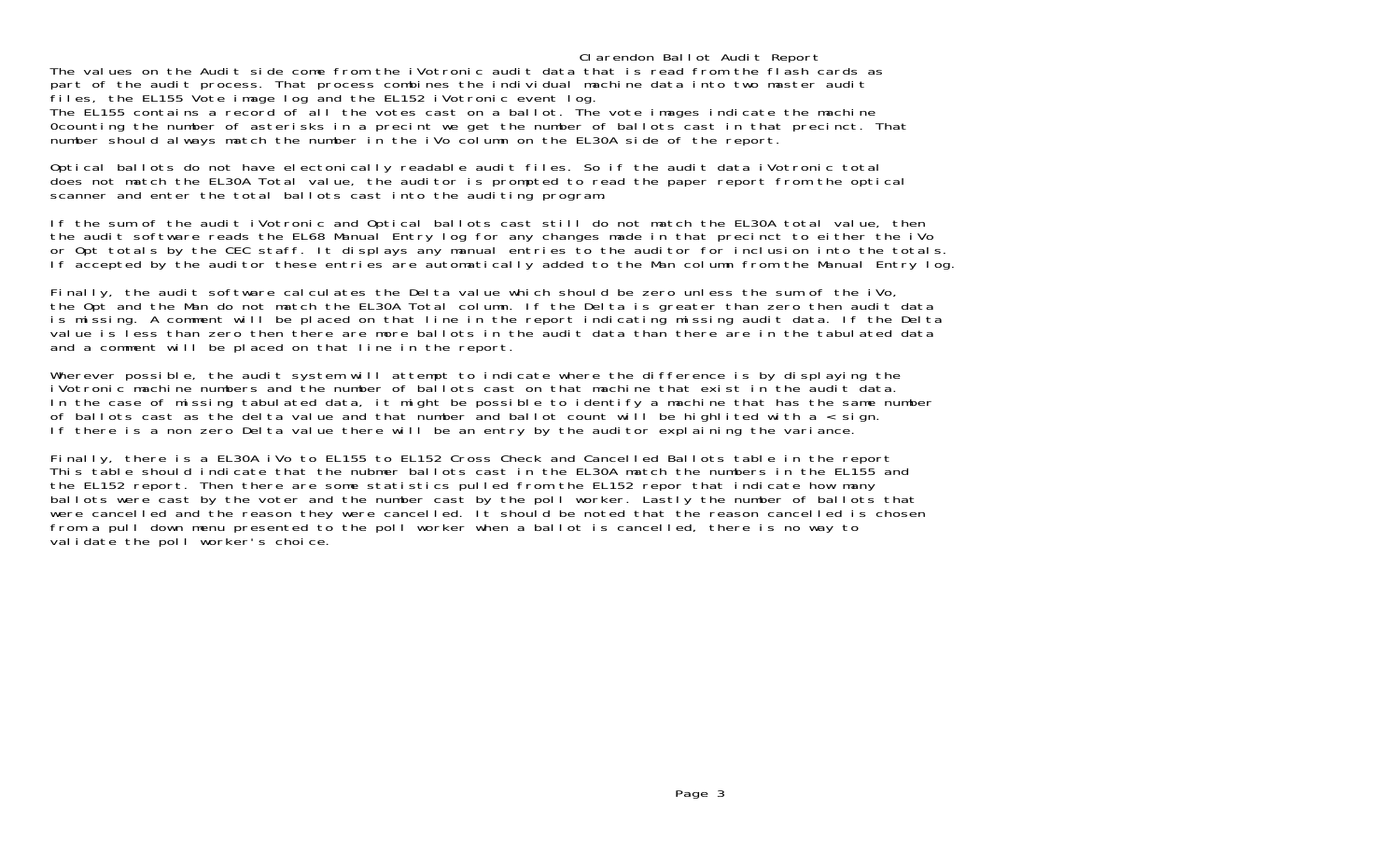Clarendon Ballot Audit Report The values on the Audit side come from the iVotronic audit data that is read from the flash cards as part of the audit process. That process combines the individual machine data into two master audit files, the EL155 Vote image log and the EL152 iVotronic event log. The EL155 contains a record of all the votes cast on a ballot. The vote images indicate the machine 0counting the number of asterisks in a precint we get the number of ballots cast in that precinct. That number should always match the number in the iVo column on the EL30A side of the report.

Optical ballots do not have electonically readable audit files. So if the audit data iVotronic total does not match the EL30A Total value, the auditor is prompted to read the paper report from the optical scanner and enter the total ballots cast into the auditing program.

If the sum of the audit iVotronic and Optical ballots cast still do not match the EL30A total value, then the audit software reads the EL68 Manual Entry log for any changes made in that precinct to either the iVo or Opt totals by the CEC staff. It displays any manual entries to the auditor for inclusion into the totals. If accepted by the auditor these entries are automatically added to the Man column from the Manual Entry log.

Finally, the audit software calculates the Delta value which should be zero unless the sum of the iVo, the Opt and the Man do not match the EL30A Total column. If the Delta is greater than zero then audit data is missing. A comment will be placed on that line in the report indicating missing audit data. If the Delta value is less than zero then there are more ballots in the audit data than there are in the tabulated data and a comment will be placed on that line in the report.

Wherever possible, the audit system will attempt to indicate where the difference is by displaying the iVotronic machine numbers and the number of ballots cast on that machine that exist in the audit data. In the case of missing tabulated data, it might be possible to identify a machine that has the same number of ballots cast as the delta value and that number and ballot count will be highlited with a < sign. If there is a non zero Delta value there will be an entry by the auditor explaining the variance.

Finally, there is a EL30A iVo to EL155 to EL152 Cross Check and Cancelled Ballots table in the report This table should indicate that the nubmer ballots cast in the EL30A match the numbers in the EL155 and the EL152 report. Then there are some statistics pulled from the EL152 repor that indicate how many ballots were cast by the voter and the number cast by the poll worker. Lastly the number of ballots that were cancelled and the reason they were cancelled. It should be noted that the reason cancelled is chosen from a pull down menu presented to the poll worker when a ballot is cancelled, there is no way to validate the poll worker's choice.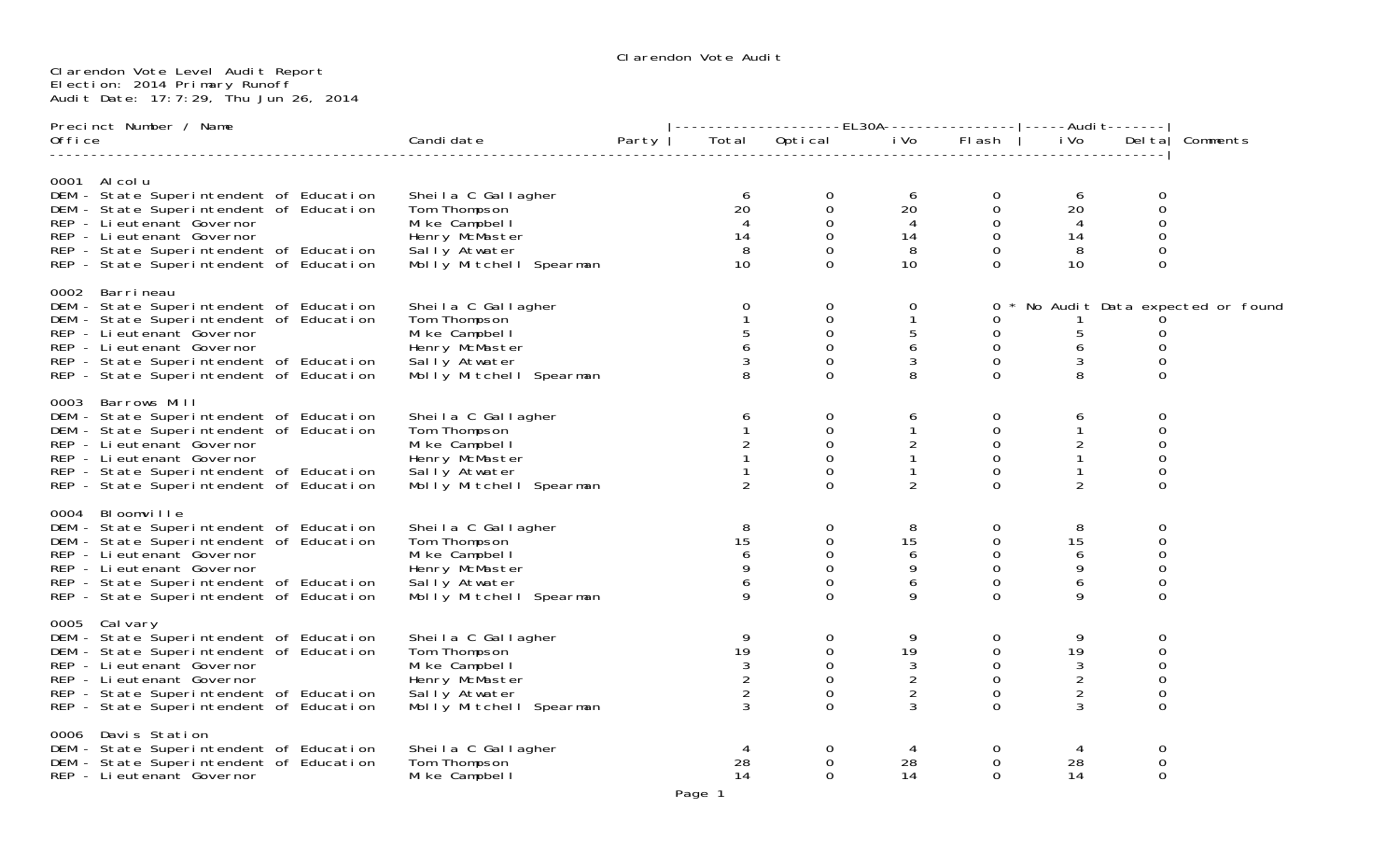## Clarendon Vote Level Audit Report Election: 2014 Primary Runoff Audit Date: 17:7:29, Thu Jun 26, 2014

| Precinct Number / Name |                                                                                                                                                                                                                                                         |                                                                                                                   |       |                                                             | -------------------EL30A----------------- -----Audi t-------              |                                                                       |                                                                                   |                                                            |                                                                  |                                 |
|------------------------|---------------------------------------------------------------------------------------------------------------------------------------------------------------------------------------------------------------------------------------------------------|-------------------------------------------------------------------------------------------------------------------|-------|-------------------------------------------------------------|---------------------------------------------------------------------------|-----------------------------------------------------------------------|-----------------------------------------------------------------------------------|------------------------------------------------------------|------------------------------------------------------------------|---------------------------------|
| 0ffice                 |                                                                                                                                                                                                                                                         | Candi date                                                                                                        | Party |                                                             | Total Optical Controller Divo                                             |                                                                       | $Flash$                                                                           | i Vo                                                       |                                                                  | Delta Comments                  |
|                        | 0001 Al col u<br>DEM - State Superintendent of Education<br>DEM - State Superintendent of Education<br>REP - Lieutenant Governor<br>REP - Lieutenant Governor<br>REP - State Superintendent of Education<br>REP - State Superintendent of Education     | Sheila C Gallagher<br>Tom Thompson<br>Mike Campbell<br>Henry McMaster<br>Sally Atwater<br>Molly Mitchell Spearman |       | 6<br>20<br>14<br>8<br>10                                    | 0<br>$\mathbf 0$<br>$\mathbf 0$<br>$\Omega$<br>$\Omega$<br>$\Omega$       | 6<br>20<br>4<br>14<br>8<br>10                                         | 0<br>$\mathsf{O}\xspace$<br>$\mathbf 0$<br>$\mathbf 0$<br>$\mathbf 0$<br>$\Omega$ | 6<br>20<br>4<br>14<br>8<br>10                              | 0<br>$\mathbf 0$<br>0<br>$\Omega$<br>$\overline{0}$              |                                 |
|                        | 0002 Barri neau<br>DEM - State Superintendent of Education<br>DEM - State Superintendent of Education<br>REP - Lieutenant Governor<br>REP - Lieutenant Governor<br>REP - State Superintendent of Education<br>REP - State Superintendent of Education   | Sheila C Gallagher<br>Tom Thompson<br>Mike Campbell<br>Henry McMaster<br>Sally Atwater<br>Molly Mitchell Spearman |       | $\mathbf 0$<br>$\overline{5}$<br>$\boldsymbol{6}$<br>3<br>8 | 0<br>$\mathbf 0$<br>$\mathbf 0$<br>$\mathsf 0$<br>$\mathbf 0$<br>$\Omega$ | 0<br>5<br>6<br>3<br>8                                                 | 0<br>0<br>$\mathsf O$<br>$\mathbf 0$<br>$\mathbf 0$<br>$\Omega$                   | 5<br>6<br>3<br>8                                           | 0<br>$\mathbf{O}$<br>$\mathbf 0$<br>$\Omega$                     | No Audit Data expected or found |
|                        | 0003 Barrows Mill<br>DEM - State Superintendent of Education<br>DEM - State Superintendent of Education<br>REP - Lieutenant Governor<br>REP - Lieutenant Governor<br>REP - State Superintendent of Education<br>REP - State Superintendent of Education | Sheila C Gallagher<br>Tom Thompson<br>Mike Campbell<br>Henry McMaster<br>Sally Atwater<br>Molly Mitchell Spearman |       | 6<br>$\overline{2}$<br>$\overline{2}$                       | 0<br>$\mathbf 0$<br>$\mathbf 0$<br>$\mathbf 0$<br>0<br>$\Omega$           | 6<br>$\mathbf{1}$<br>$\overline{c}$<br>$\mathbf{1}$<br>$\overline{2}$ | 0<br>$\mathbf 0$<br>$\mathbf 0$<br>$\mathsf{O}\xspace$<br>0<br>$\Omega$           | 6<br>1<br>$\overline{c}$<br>$\mathbf{1}$<br>$\overline{2}$ | 0<br>0<br>$\Omega$<br>0<br>$\Omega$<br>$\Omega$                  |                                 |
|                        | 0004 Bloomville<br>DEM - State Superintendent of Education<br>DEM - State Superintendent of Education<br>REP - Lieutenant Governor<br>REP - Lieutenant Governor<br>REP - State Superintendent of Education<br>REP - State Superintendent of Education   | Sheila C Gallagher<br>Tom Thompson<br>Mike Campbell<br>Henry McMaster<br>Sally Atwater<br>Molly Mitchell Spearman |       | 8<br>15<br>6<br>9<br>6<br>9                                 | $\mathbf 0$<br>$\Omega$<br>0<br>$\Omega$<br>$\mathbf 0$<br>$\Omega$       | 8<br>15<br>6<br>9<br>6<br>9                                           | 0<br>$\mathbf 0$<br>$\mathbf 0$<br>$\mathbf 0$<br>$\mathbf 0$<br>$\Omega$         | 8<br>15<br>6<br>9<br>6<br>9                                | 0<br>$\Omega$<br>$\mathbf 0$<br>$\Omega$<br>$\Omega$<br>$\Omega$ |                                 |
|                        | 0005 Cal vary<br>DEM - State Superintendent of Education<br>DEM - State Superintendent of Education<br>REP - Lieutenant Governor<br>REP - Lieutenant Governor<br>REP - State Superintendent of Education<br>REP - State Superintendent of Education     | Sheila C Gallagher<br>Tom Thompson<br>Mike Campbell<br>Henry McMaster<br>Sally Atwater<br>Molly Mitchell Spearman |       | 9<br>19<br>3<br>$\overline{a}$<br>$\overline{2}$<br>3       | 0<br>$\mathbf 0$<br>$\Omega$<br>$\mathbf 0$<br>$\mathbf 0$<br>$\mathbf 0$ | 9<br>19<br>$\mathfrak{Z}$<br>$\frac{2}{2}$<br>3                       | 0<br>$\mathbf 0$<br>$\mathbf 0$<br>$\mathbf 0$<br>$\mathbf 0$<br>$\mathbf 0$      | 9<br>19<br>$\sqrt{3}$<br>$\frac{2}{2}$<br>3                | 0<br>$\mathbf 0$<br>$\Omega$<br>$\mathbf 0$<br>0<br>$\Omega$     |                                 |
|                        | 0006 Davis Station<br>DEM - State Superintendent of Education<br>DEM - State Superintendent of Education<br>REP - Lieutenant Governor                                                                                                                   | Sheila C Gallagher<br>Tom Thompson<br>Mike Campbell                                                               |       | $\overline{4}$<br>28<br>14                                  | 0<br>0<br>$\Omega$                                                        | 4<br>28<br>14                                                         | 0<br>0<br>$\Omega$                                                                | 4<br>28<br>14                                              | 0<br>0<br>$\mathbf 0$                                            |                                 |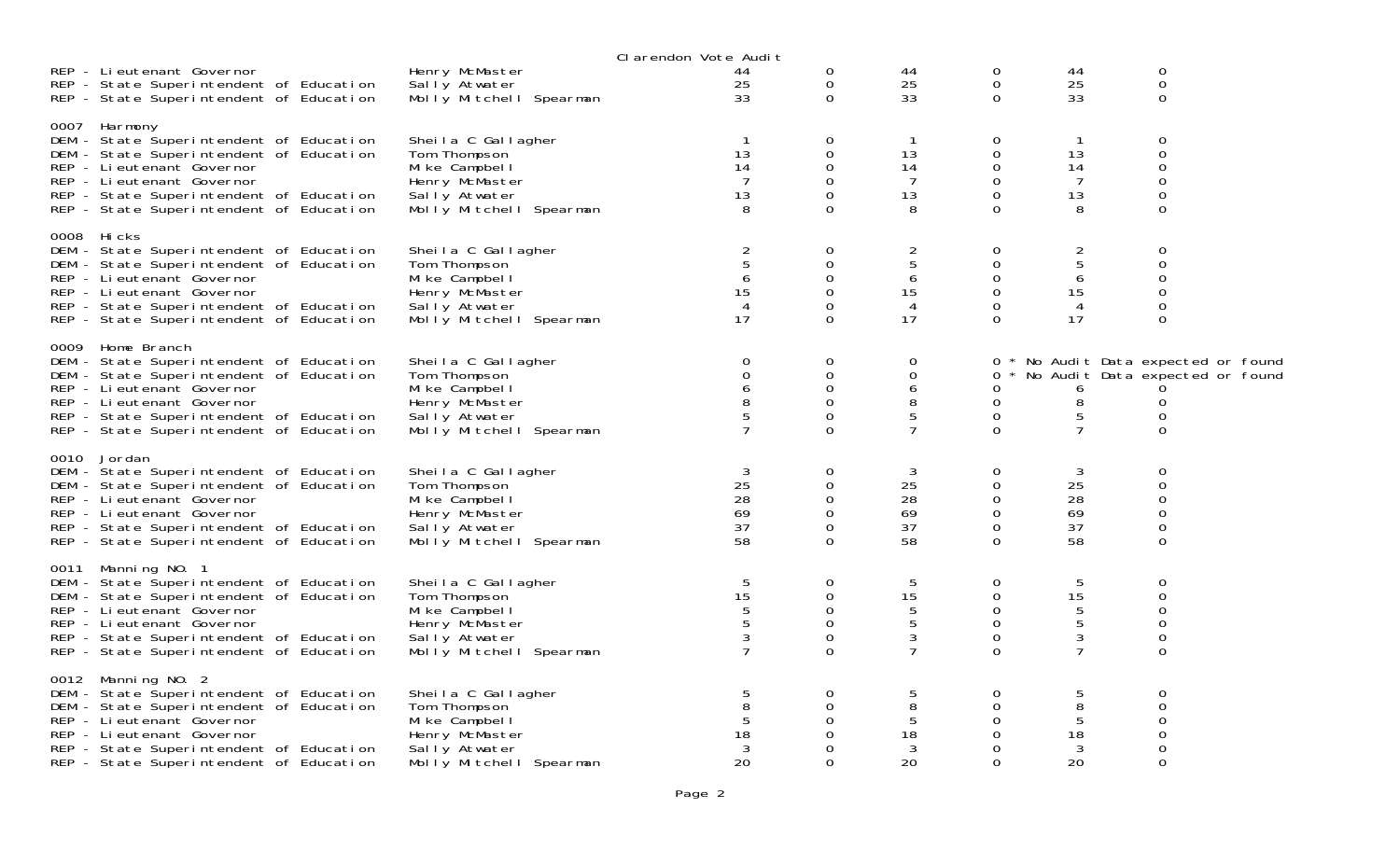|                                                                                                                                                                                                                                                           |                                                                                                                     | Clarendon Vote Audit                                    |                                                    |                                                                                 |                                                              |                                                              |                                                                                               |  |
|-----------------------------------------------------------------------------------------------------------------------------------------------------------------------------------------------------------------------------------------------------------|---------------------------------------------------------------------------------------------------------------------|---------------------------------------------------------|----------------------------------------------------|---------------------------------------------------------------------------------|--------------------------------------------------------------|--------------------------------------------------------------|-----------------------------------------------------------------------------------------------|--|
| REP - Lieutenant Governor<br>REP - State Superintendent of Education<br>REP - State Superintendent of Education                                                                                                                                           | Henry McMaster<br>Sally Atwater<br>Molly Mitchell Spearman                                                          | 44<br>25<br>33                                          | 0<br>0<br>$\Omega$                                 | 44<br>25<br>33                                                                  | 0<br>0<br>$\overline{0}$                                     | 44<br>25<br>33                                               | $\mathbf 0$<br>$\mbox{O}$<br>$\Omega$                                                         |  |
| 0007 Harmony<br>DEM - State Superintendent of Education<br>DEM - State Superintendent of Education<br>REP - Li eutenant Governor<br>REP - Lieutenant Governor<br>REP - State Superintendent of Education<br>REP - State Superintendent of Education       | Sheila C Gallagher<br>Tom Thompson<br>Mi ke Campbel I<br>Henry McMaster<br>Sally Atwater<br>Molly Mitchell Spearman | $\overline{1}$<br>13<br>14<br>$\overline{7}$<br>13<br>8 | 0<br>0<br>0<br>0<br>$\Omega$<br>$\Omega$           | $\overline{1}$<br>13<br>14<br>$\overline{7}$<br>13<br>8                         | 0<br>0<br>0<br>0<br>$\mathbf 0$<br>$\Omega$                  | $\overline{1}$<br>13<br>14<br>7<br>13<br>8                   | $\mathbf 0$<br>$\mathbf 0$<br>$\mathbf 0$<br>$\boldsymbol{0}$<br>$\mathbf 0$<br>$\Omega$      |  |
| 0008 Hicks<br>DEM - State Superintendent of Education<br>DEM - State Superintendent of Education<br>REP - Lieutenant Governor<br>REP - Lieutenant Governor<br>REP - State Superintendent of Education<br>REP - State Superintendent of Education          | Sheila C Gallagher<br>Tom Thompson<br>Mi ke Campbel I<br>Henry McMaster<br>Sally Atwater<br>Molly Mitchell Spearman | $\overline{2}$<br>5<br>6<br>15<br>$\overline{4}$<br>17  | 0<br>$\mathbf 0$<br>0<br>$\Omega$<br>0<br>$\Omega$ | 2<br>$\overline{5}$<br>6<br>15<br>4<br>17                                       | 0<br>0<br>0<br>0<br>0<br>$\Omega$                            | 2<br>5<br>6<br>15<br>$\overline{4}$<br>17                    | $\mathbf 0$<br>$\mathbf 0$<br>$\boldsymbol{0}$<br>$\mathbf 0$<br>$\mathbf 0$<br>$\Omega$      |  |
| 0009 Home Branch<br>DEM - State Superintendent of Education<br>DEM - State Superintendent of Education<br>REP - Li eutenant Governor<br>REP - Li eutenant Governor<br>REP - State Superintendent of Education<br>REP - State Superintendent of Education  | Sheila C Gallagher<br>Tom Thompson<br>Mi ke Campbel I<br>Henry McMaster<br>Sally Atwater<br>Molly Mitchell Spearman | 0<br>$\mathsf{O}$<br>6<br>8<br>$\overline{7}$           | 0<br>0<br>$\Omega$<br>0<br>0<br>$\Omega$           | $\mathbf 0$<br>$\mathbf 0$<br>6<br>8<br>$\overline{5}$<br>$\overline{7}$        | 0<br>0<br>0<br>0<br>0<br>$\overline{O}$                      | 6<br>8<br>5<br>$\overline{7}$                                | * No Audit Data expected or found<br>No Audit Data expected or found<br>0<br>0<br>$\mathbf 0$ |  |
| 0010 Jordan<br>DEM - State Superintendent of Education<br>DEM - State Superintendent of Education<br>REP - Li eutenant Governor<br>REP - Li eutenant Governor<br>REP - State Superintendent of Education<br>REP - State Superintendent of Education       | Sheila C Gallagher<br>Tom Thompson<br>Mi ke Campbel I<br>Henry McMaster<br>Sally Atwater<br>Molly Mitchell Spearman | 3<br>25<br>28<br>69<br>37<br>58                         | 0<br>$\Omega$<br>0<br>0<br>$\Omega$<br>$\Omega$    | 3<br>25<br>28<br>69<br>37<br>58                                                 | 0<br>$\mathbf 0$<br>0<br>$\mathbf 0$<br>0<br>$\Omega$        | 3<br>25<br>28<br>69<br>37<br>58                              | $\mathbf 0$<br>$\mathbf 0$<br>$\boldsymbol{0}$<br>$\mathbf 0$<br>$\mathbf 0$<br>$\mathbf 0$   |  |
| 0011 Manning NO. 1<br>DEM - State Superintendent of Education<br>DEM - State Superintendent of Education<br>REP - Li eutenant Governor<br>REP - Lieutenant Governor<br>REP - State Superintendent of Education<br>REP - State Superintendent of Education | Sheila C Gallagher<br>Tom Thompson<br>Mi ke Campbel I<br>Henry McMaster<br>Sally Atwater<br>Molly Mitchell Spearman | 5<br>15<br>5<br>3<br>$\overline{7}$                     | 0<br>$\Omega$<br>0<br>0<br>$\mathbf 0$<br>$\Omega$ | 5<br>15<br>$\overline{5}$<br>$\overline{5}$<br>$\mathfrak{S}$<br>$\overline{7}$ | 0<br>0<br>0<br>0<br>$\mathbf 0$<br>$\Omega$                  | 5<br>15<br>$\frac{5}{5}$<br>$\overline{3}$<br>$\overline{7}$ | 0<br>$\mathbf 0$<br>$\mathbf 0$<br>$\mathbf 0$<br>$\boldsymbol{0}$<br>$\Omega$                |  |
| 0012 Manning NO. 2<br>DEM - State Superintendent of Education<br>DEM - State Superintendent of Education<br>REP - Lieutenant Governor<br>REP - Lieutenant Governor<br>REP - State Superintendent of Education<br>REP - State Superintendent of Education  | Sheila C Gallagher<br>Tom Thompson<br>Mi ke Campbel I<br>Henry McMaster<br>Sally Atwater<br>Molly Mitchell Spearman | 5<br>8<br>18<br>3<br>20                                 | $\Omega$<br>0<br>$\Omega$<br>0<br>∩<br>$\Omega$    | 5<br>8<br>5<br>18<br>3<br>20                                                    | $\Omega$<br>0<br>$\Omega$<br>0<br>$\Omega$<br>$\overline{O}$ | 5<br>8<br>5<br>18<br>3<br>20                                 | 0<br>$\mathbf 0$<br>$\Omega$<br>$\boldsymbol{0}$<br>$\mathbf 0$<br>$\mathbf 0$                |  |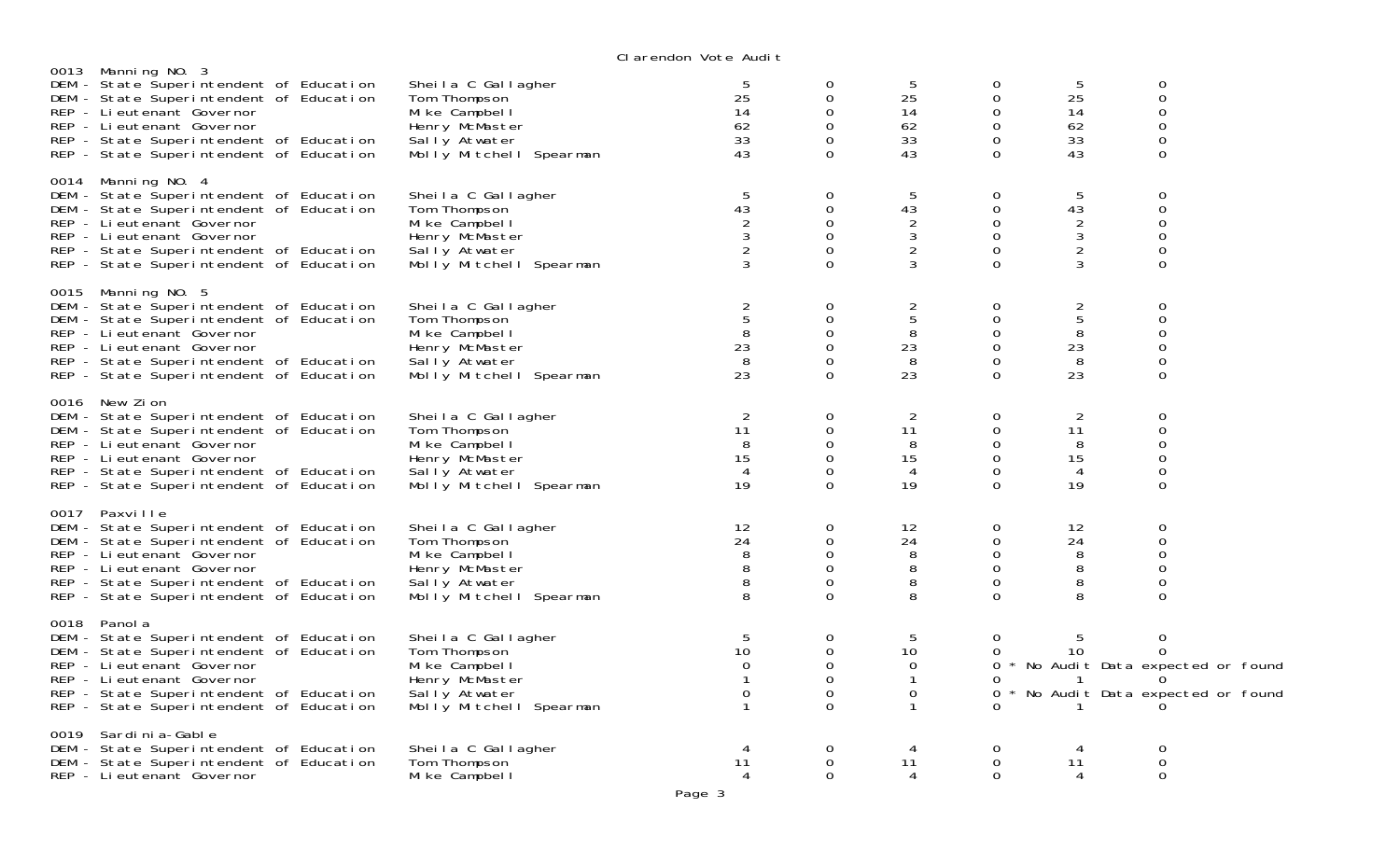Clarendon Vote Audit

|                                                                                                                                                                                                                                                           |                                                                                                                   | VI AT CHUVIT VULC AUUT L                         |                                     |                                                 |                                      |                                        |                                                                                           |
|-----------------------------------------------------------------------------------------------------------------------------------------------------------------------------------------------------------------------------------------------------------|-------------------------------------------------------------------------------------------------------------------|--------------------------------------------------|-------------------------------------|-------------------------------------------------|--------------------------------------|----------------------------------------|-------------------------------------------------------------------------------------------|
| 0013 Manning No. 3<br>DEM - State Superintendent of Education<br>DEM - State Superintendent of Education<br>REP - Lieutenant Governor<br>REP - Lieutenant Governor<br>REP - State Superintendent of Education<br>REP - State Superintendent of Education  | Sheila C Gallagher<br>Tom Thompson<br>Mike Campbell<br>Henry McMaster<br>Sally Atwater<br>Molly Mitchell Spearman | 25<br>14<br>62<br>33<br>43                       | 0<br>0<br>$\Omega$<br>0<br>0        | 5<br>25<br>14<br>62<br>33<br>43                 | 0<br>0<br>0<br>0<br>0<br>$\Omega$    | 5<br>25<br>14<br>62<br>33<br>43        | 0<br>0<br>0<br>$\mathbf 0$<br>$\boldsymbol{0}$<br>$\Omega$                                |
| 0014 Manning NO. 4<br>DEM - State Superintendent of Education<br>DEM - State Superintendent of Education<br>REP - Li eutenant Governor<br>REP - Lieutenant Governor<br>REP - State Superintendent of Education<br>REP - State Superintendent of Education | Sheila C Gallagher<br>Tom Thompson<br>Mike Campbell<br>Henry McMaster<br>Sally Atwater<br>Molly Mitchell Spearman | 5<br>43<br>$\mathfrak{Z}$<br>$\overline{2}$<br>3 | 0<br>0<br>0<br>$\Omega$<br>0<br>0   | 5<br>43<br>$\frac{2}{3}$<br>$\overline{2}$<br>3 | 0<br>0<br>0<br>0<br>$\mathbf 0$<br>0 | 5<br>43<br>$\frac{2}{3}$<br>3          | 0<br>$\mathbf 0$<br>0<br>$\mathbf 0$<br>$\mathbf 0$<br>$\Omega$                           |
| 0015 Manning NO. 5<br>DEM - State Superintendent of Education<br>DEM - State Superintendent of Education<br>REP - Lieutenant Governor<br>REP - Li eutenant Governor<br>REP - State Superintendent of Education<br>REP - State Superintendent of Education | Sheila C Gallagher<br>Tom Thompson<br>Mike Campbell<br>Henry McMaster<br>Sally Atwater<br>Molly Mitchell Spearman | $\overline{2}$<br>5<br>8<br>23<br>8<br>23        | 0<br>0<br>0<br>$\Omega$             | $rac{2}{5}$<br>8<br>23<br>8<br>23               | 0<br>0<br>0<br>0<br>0<br>0           | 2<br>$\mathbf 5$<br>8<br>23<br>8<br>23 | 0<br>0<br>$\mathbf 0$<br>0<br>$\mathbf 0$<br>$\mathbf 0$                                  |
| 0016 New Zion<br>DEM - State Superintendent of Education<br>DEM - State Superintendent of Education<br>REP - Lieutenant Governor<br>REP - Lieutenant Governor<br>REP - State Superintendent of Education<br>REP - State Superintendent of Education       | Sheila C Gallagher<br>Tom Thompson<br>Mike Campbell<br>Henry McMaster<br>Sally Atwater<br>Molly Mitchell Spearman | 2<br>11<br>8<br>15<br>4<br>19                    | 0<br>0<br>$\Omega$<br>0<br>$\Omega$ | $\overline{2}$<br>11<br>8<br>15<br>4<br>19      | 0<br>0<br>0<br>0<br>0<br>$\Omega$    | 2<br>11<br>8<br>15<br>4<br>19          | 0<br>0<br>$\mathbf 0$<br>$\mathbf 0$<br>0<br>$\Omega$                                     |
| 0017 Paxville<br>DEM - State Superintendent of Education<br>DEM - State Superintendent of Education<br>REP - Lieutenant Governor<br>REP - Lieutenant Governor<br>REP - State Superintendent of Education<br>REP - State Superintendent of Education       | Sheila C Gallagher<br>Tom Thompson<br>Mike Campbell<br>Henry McMaster<br>Sally Atwater<br>Molly Mitchell Spearman | 12<br>24<br>8<br>8<br>8                          | 0<br>0<br>0<br>0<br>0<br>0          | 12<br>24<br>8<br>8<br>$\, 8$<br>8               | 0<br>0<br>0<br>0<br>0<br>$\Omega$    | 12<br>24<br>8<br>8<br>8<br>8           | 0<br>$\mathbf 0$<br>0<br>$\mathbf 0$<br>$\boldsymbol{0}$<br>$\Omega$                      |
| 0018 Panol a<br>DEM - State Superintendent of Education<br>DEM - State Superintendent of Education<br>REP - Li eutenant Governor<br>REP - Lieutenant Governor<br>REP - State Superintendent of Education<br>REP - State Superintendent of Education       | Sheila C Gallagher<br>Tom Thompson<br>Mike Campbell<br>Henry McMaster<br>Sally Atwater<br>Molly Mitchell Spearman | 5<br>10<br>0<br>0                                | 0<br>0<br>0<br>$\Omega$             | 5<br>10<br>$\mathbf 0$<br>0                     | 0<br>0<br>0<br>∩                     | 5<br>10                                | 0<br>$\Omega$<br>* No Audit Data expected or found<br>0 * No Audit Data expected or found |
| 0019 Sardi ni a-Gable<br>DEM - State Superintendent of Education<br>DEM - State Superintendent of Education<br>REP - Lieutenant Governor                                                                                                                  | Sheila C Gallagher<br>Tom Thompson<br>Mi ke Campbel I                                                             | 11<br>4                                          | 0<br>$\Omega$                       | 11<br>4                                         | 0<br>$\Omega$                        | 11<br>4                                | 0<br>$\Omega$                                                                             |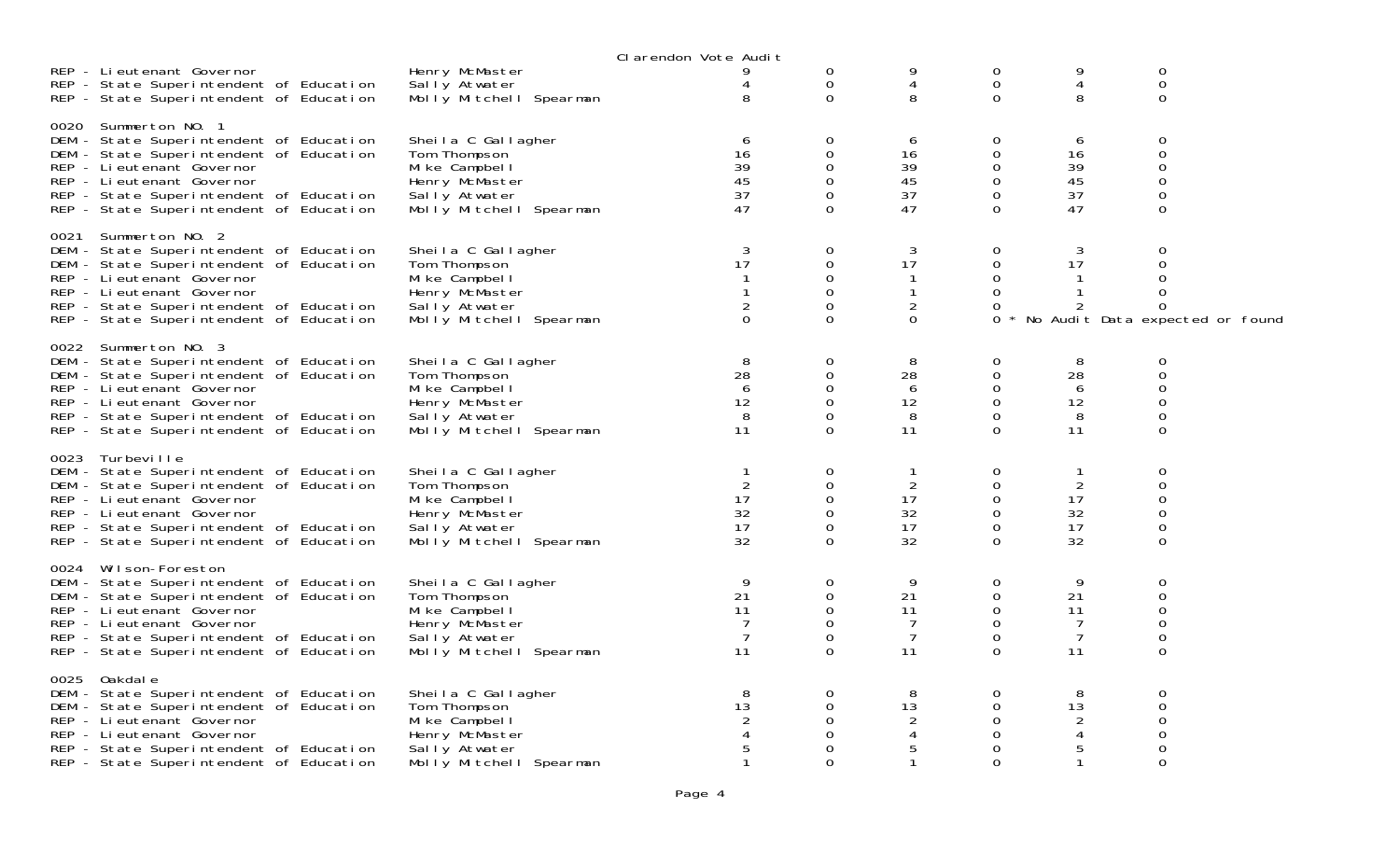|      |                                                                                                                                                                                                                                                              |                                                                                                                     | Clarendon Vote Audit                                  |                                                 |                                                         |                                                              |                                              |                                                                                  |
|------|--------------------------------------------------------------------------------------------------------------------------------------------------------------------------------------------------------------------------------------------------------------|---------------------------------------------------------------------------------------------------------------------|-------------------------------------------------------|-------------------------------------------------|---------------------------------------------------------|--------------------------------------------------------------|----------------------------------------------|----------------------------------------------------------------------------------|
|      | REP - Li eutenant Governor<br>REP - State Superintendent of Education<br>REP - State Superintendent of Education                                                                                                                                             | Henry McMaster<br>Sally Atwater<br>Molly Mitchell Spearman                                                          | 8                                                     | 0<br>0<br>$\Omega$                              | 9<br>$\overline{4}$<br>8                                | 0<br>$\mathsf{O}\xspace$<br>$\Omega$                         | 9<br>4<br>8                                  | $\mathbf 0$<br>$\mbox{O}$<br>$\Omega$                                            |
|      | 0020 Summerton NO. 1<br>DEM - State Superintendent of Education<br>DEM - State Superintendent of Education<br>REP - Li eutenant Governor<br>REP - Lieutenant Governor<br>REP - State Superintendent of Education<br>REP - State Superintendent of Education  | Sheila C Gallagher<br>Tom Thompson<br>Mi ke Campbel I<br>Henry McMaster<br>Sally Atwater<br>Molly Mitchell Spearman | 6<br>16<br>39<br>45<br>37<br>47                       | 0<br>0<br>$\Omega$<br>0<br>$\Omega$<br>$\Omega$ | 6<br>16<br>39<br>45<br>37<br>47                         | 0<br>0<br>0<br>0<br>$\Omega$<br>$\Omega$                     | 6<br>16<br>39<br>45<br>37<br>47              | $\Omega$<br>$\mathbf 0$<br>0<br>$\mathbf 0$<br>$\Omega$<br>$\Omega$              |
| 0021 | Summerton NO. 2<br>DEM - State Superintendent of Education<br>DEM - State Superintendent of Education<br>REP - Lieutenant Governor<br>REP - Lieutenant Governor<br>REP - State Superintendent of Education<br>REP - State Superintendent of Education        | Sheila C Gallagher<br>Tom Thompson<br>Mi ke Campbel I<br>Henry McMaster<br>Sally Atwater<br>Molly Mitchell Spearman | 3<br>17<br>$\mathbf{1}$<br>$\overline{2}$<br>$\Omega$ | 0<br>0<br>0<br>$\Omega$<br>0<br>$\Omega$        | 3<br>17<br>$\mathbf{1}$<br>-1<br>2<br>$\Omega$          | 0<br>0<br>0<br>$\Omega$<br>$\Omega$<br>0                     | 3<br>17<br>-1                                | 0<br>0<br>0<br>∩<br>$\Omega$<br>No Audit Data expected or found                  |
|      | 0022 Summerton NO. 3<br>DEM - State Superintendent of Education<br>DEM - State Superintendent of Education<br>REP - Li eutenant Governor<br>REP - Li eutenant Governor<br>REP - State Superintendent of Education<br>REP - State Superintendent of Education | Sheila C Gallagher<br>Tom Thompson<br>Mi ke Campbel I<br>Henry McMaster<br>Sally Atwater<br>Molly Mitchell Spearman | 8<br>28<br>6<br>12<br>8<br>11                         | 0<br>0<br>$\Omega$<br>$\Omega$<br>$\Omega$<br>0 | 8<br>28<br>6<br>12<br>8<br>11                           | 0<br>0<br>0<br>$\Omega$<br>$\Omega$<br>$\Omega$              | 8<br>28<br>6<br>12<br>8<br>11                | $\mathbf 0$<br>$\mathbf 0$<br>$\Omega$<br>$\mathbf 0$<br>$\Omega$<br>$\mathbf 0$ |
|      | 0023 Turbeville<br>DEM - State Superintendent of Education<br>DEM - State Superintendent of Education<br>REP - Li eutenant Governor<br>REP - Lieutenant Governor<br>REP - State Superintendent of Education<br>REP - State Superintendent of Education       | Sheila C Gallagher<br>Tom Thompson<br>Mike Campbell<br>Henry McMaster<br>Sally Atwater<br>Molly Mitchell Spearman   | 2<br>17<br>32<br>17<br>32                             | 0<br>0<br>$\Omega$<br>$\Omega$<br>0<br>$\Omega$ | $\mathbf{1}$<br>2<br>17<br>32<br>17<br>32               | 0<br>0<br>$\Omega$<br>$\mathbf 0$<br>$\mathbf 0$<br>$\Omega$ | -1<br>$\overline{2}$<br>17<br>32<br>17<br>32 | 0<br>$\mathbf 0$<br>$\Omega$<br>$\mathbf 0$<br>0<br>$\Omega$                     |
|      | 0024 Wilson-Foreston<br>DEM - State Superintendent of Education<br>DEM - State Superintendent of Education<br>REP - Li eutenant Governor<br>REP - Lieutenant Governor<br>REP - State Superintendent of Education<br>REP - State Superintendent of Education  | Sheila C Gallagher<br>Tom Thompson<br>Mike Campbell<br>Henry McMaster<br>Sally Atwater<br>Molly Mitchell Spearman   | 9<br>21<br>11<br>7<br>$\overline{7}$<br>11            | 0<br>0<br>$\Omega$<br>$\Omega$<br>0<br>$\Omega$ | 9<br>21<br>11<br>$\overline{7}$<br>$\overline{7}$<br>11 | $\mathbf 0$<br>0<br>0<br>0<br>0<br>$\Omega$                  | 9<br>21<br>11<br>7<br>$\overline{7}$<br>11   | 0<br>0<br>$\mathbf 0$<br>0<br>$\mathbf 0$<br>$\Omega$                            |
| 0025 | 0akdal e<br>DEM - State Superintendent of Education<br>DEM - State Superintendent of Education<br>REP - Lieutenant Governor<br>REP - Lieutenant Governor<br>REP - State Superintendent of Education<br>REP - State Superintendent of Education               | Sheila C Gallagher<br>Tom Thompson<br>Mike Campbell<br>Henry McMaster<br>Sally Atwater<br>Molly Mitchell Spearman   | 8<br>13                                               | 0<br>$\Omega$<br>0<br>0<br>$\Omega$             | 8<br>13<br>$\overline{c}$<br>4<br>5<br>$\mathbf{1}$     | 0<br>0<br>0<br>0<br>0<br>$\Omega$                            | 8<br>13<br>$\overline{2}$<br>4<br>5<br>1     | 0<br>$\Omega$<br>0<br>$\mathbf 0$<br>$\Omega$<br>$\Omega$                        |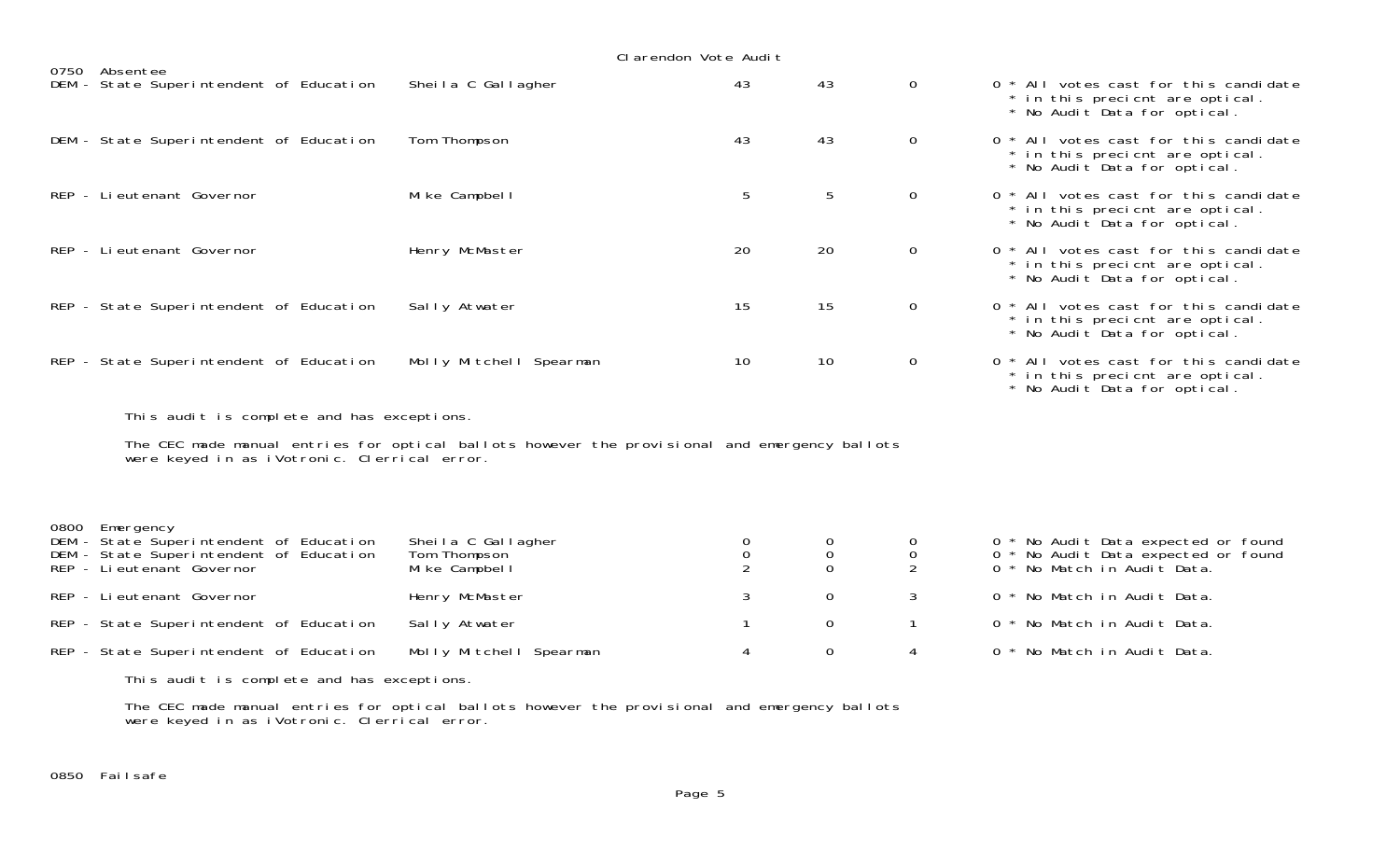|                                                                                                                                    | Clarendon Vote Audit                                                                          |                          |                              |                         |                                                                                                           |
|------------------------------------------------------------------------------------------------------------------------------------|-----------------------------------------------------------------------------------------------|--------------------------|------------------------------|-------------------------|-----------------------------------------------------------------------------------------------------------|
| 0750 Absentee<br>DEM - State Superintendent of Education                                                                           | Sheila C Gallagher                                                                            | 43                       | 43                           | $\overline{0}$          | 0 * All votes cast for this candidate<br>* in this precient are optical.<br>* No Audit Data for optical.  |
| DEM - State Superintendent of Education                                                                                            | Tom Thompson                                                                                  | 43                       | 43                           | $\overline{0}$          | 0 * All votes cast for this candidate<br>* in this precient are optical.<br>* No Audit Data for optical.  |
| REP - Li eutenant Governor                                                                                                         | Mike Campbell                                                                                 | 5                        | 5                            | $\overline{0}$          | 0 * All votes cast for this candidate<br>* in this precient are optical.<br>* No Audit Data for optical.  |
| REP - Lieutenant Governor                                                                                                          | Henry McMaster                                                                                | 20                       | 20                           | $\mathsf{O}$            | 0 * All votes cast for this candidate<br>* in this precient are optical.<br>* No Audit Data for optical.  |
| REP - State Superintendent of Education                                                                                            | Sally Atwater                                                                                 | 15                       | 15                           | $\overline{0}$          | 0 * All votes cast for this candidate<br>* in this precient are optical.<br>* No Audit Data for optical.  |
| REP - State Superintendent of Education                                                                                            | Molly Mitchell Spearman                                                                       | 10                       | 10                           | $\overline{0}$          | 0 * All votes cast for this candidate<br>* in this precient are optical.<br>No Audit Data for optical.    |
| This audit is complete and has exceptions.                                                                                         |                                                                                               |                          |                              |                         |                                                                                                           |
| were keyed in as iVotronic. Clerrical error.                                                                                       | The CEC made manual entries for optical ballots however the provisional and emergency ballots |                          |                              |                         |                                                                                                           |
| 0800 Emergency<br>DEM - State Superintendent of Education<br>DEM - State Superintendent of Education<br>REP - Li eutenant Governor | Sheila C Gallagher<br>Tom Thompson<br>Mi ke Campbel I                                         | 0<br>0<br>$\overline{2}$ | 0<br>$\mathbf 0$<br>$\Omega$ | 0<br>0<br>$\mathcal{P}$ | 0 * No Audit Data expected or found<br>0 * No Audit Data expected or found<br>0 * No Match in Audit Data. |
| REP - Lieutenant Governor                                                                                                          | Henry McMaster                                                                                | 3                        | $\mathbf 0$                  | 3                       | 0 * No Match in Audit Data.                                                                               |
| REP - State Superintendent of Education                                                                                            | Sally Atwater                                                                                 | $\mathbf{1}$             | 0                            |                         | 0 * No Match in Audit Data.                                                                               |
| REP - State Superintendent of Education                                                                                            | Molly Mitchell Spearman                                                                       | 4                        | $\mathbf 0$                  | 4                       | 0 * No Match in Audit Data.                                                                               |

This audit is complete and has exceptions.

 The CEC made manual entries for optical ballots however the provisional and emergency ballots were keyed in as iVotronic. Clerrical error.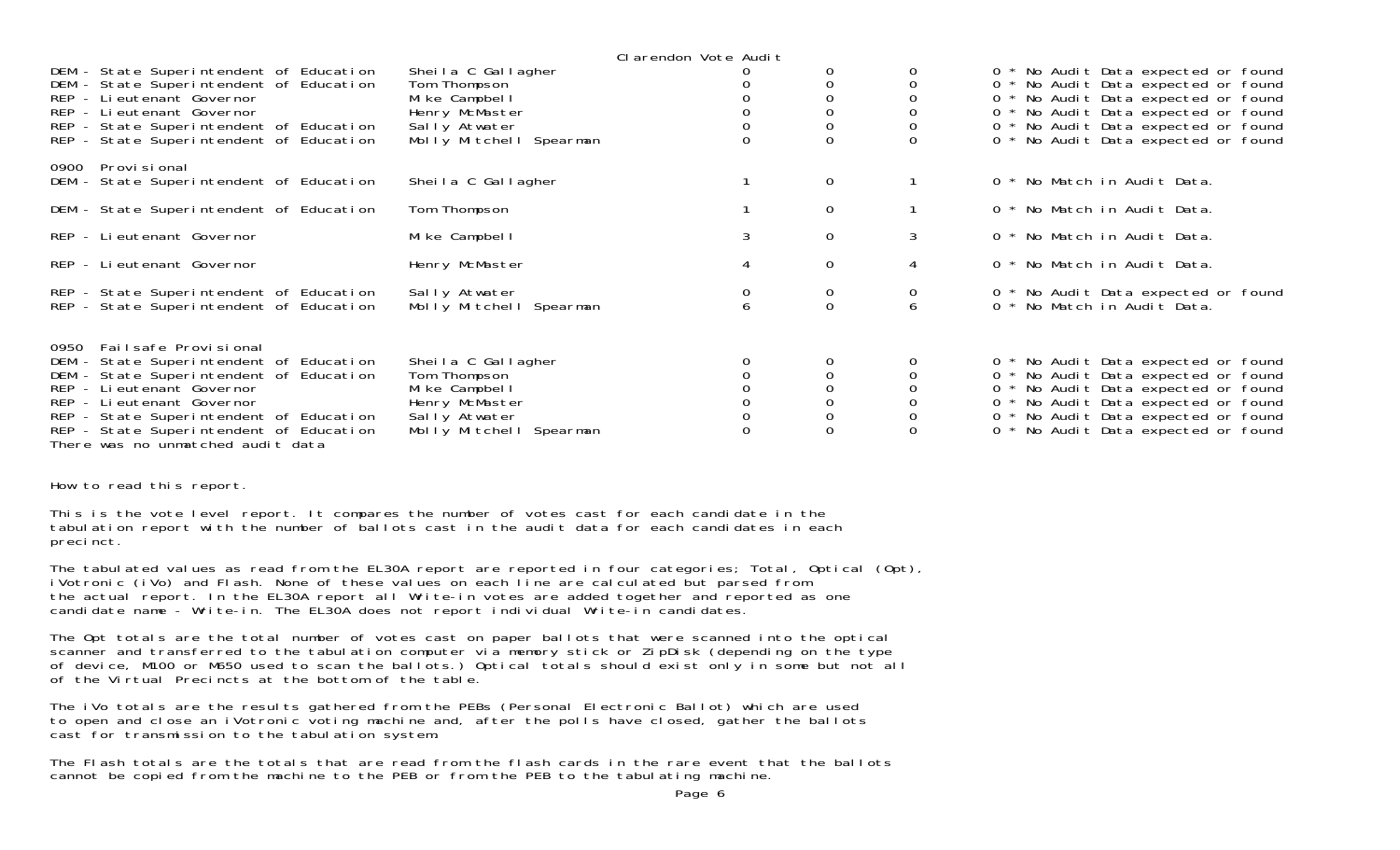|                                                        |                                 | Clarendon Vote Audit |             |                |                                                                            |
|--------------------------------------------------------|---------------------------------|----------------------|-------------|----------------|----------------------------------------------------------------------------|
| DEM - State Superintendent of Education                | Sheila C Gallagher              |                      |             |                | 0 * No Audit Data expected or found                                        |
| DEM - State Superintendent of Education                | Tom Thompson                    |                      |             |                | 0 * No Audit Data expected or found                                        |
| REP - Lieutenant Governor<br>REP - Lieutenant Governor | Mike Campbell<br>Henry McMaster |                      |             |                | 0 * No Audit Data expected or found<br>0 * No Audit Data expected or found |
| REP - State Superintendent of Education                | Sally Atwater                   |                      |             |                | 0 * No Audit Data expected or found                                        |
| REP - State Superintendent of Education                | Molly Mitchell Spearman         |                      |             | $\Omega$       | 0 * No Audit Data expected or found                                        |
| 0900 Provisional                                       |                                 |                      |             |                |                                                                            |
| DEM - State Superintendent of Education                | Sheila C Gallagher              |                      | 0           |                | 0 * No Match in Audit Data.                                                |
| DEM - State Superintendent of Education                | Tom Thompson                    |                      | $\mathbf 0$ |                | 0 * No Match in Audit Data.                                                |
| REP - Lieutenant Governor                              | Mike Campbell                   | 3                    | 0           | 3              | 0 * No Match in Audit Data.                                                |
| REP - Lieutenant Governor                              | Henry McMaster                  | 4                    | $\mathbf 0$ | $\overline{4}$ | 0 * No Match in Audit Data.                                                |
| REP - State Superintendent of Education                | Sally Atwater                   | 0                    | 0           | 0              | 0 * No Audit Data expected or found                                        |
| REP - State Superintendent of Education                | Molly Mitchell Spearman         | 6                    | $\Omega$    | 6              | 0 * No Match in Audit Data.                                                |
| 0950 Failsafe Provisional                              |                                 |                      |             |                |                                                                            |
| DEM - State Superintendent of Education                | Sheila C Gallagher              |                      |             |                | 0 * No Audit Data expected or found                                        |
| DEM - State Superintendent of Education                | Tom Thompson                    |                      | 0           |                | 0 * No Audit Data expected or found                                        |
| REP - Lieutenant Governor                              | Mike Campbell                   |                      |             |                | 0 * No Audit Data expected or found                                        |
| REP - Lieutenant Governor                              | Henry McMaster                  |                      | 0           |                | 0 * No Audit Data expected or found                                        |
| REP - State Superintendent of Education                | Sally Atwater                   |                      | 0           |                | 0 * No Audit Data expected or found                                        |
| REP - State Superintendent of Education                | Molly Mitchell Spearman         |                      |             |                | 0 * No Audit Data expected or found                                        |
| There was no unmatched audit data                      |                                 |                      |             |                |                                                                            |

How to read this report.

This is the vote level report. It compares the number of votes cast for each candidate in the tabulation report with the number of ballots cast in the audit data for each candidates in each precinct.

The tabulated values as read from the EL30A report are reported in four categories; Total, Optical (Opt), iVotronic (iVo) and Flash. None of these values on each line are calculated but parsed from the actual report. In the EL30A report all Write-in votes are added together and reported as one candidate name - Write-in. The EL30A does not report individual Write-in candidates.

The Opt totals are the total number of votes cast on paper ballots that were scanned into the optical scanner and transferred to the tabulation computer via memory stick or ZipDisk (depending on the type<br>of device, M100 or M650 used to scan the ballots.) Optical totals should exist only in some but not all<br>of the Virtual P

The iVo totals are the results gathered from the PEBs (Personal Electronic Ballot) which are used to open and close an iVotronic voting machine and, after the polls have closed, gather the ballots cast for transmission to the tabulation system.

The Flash totals are the totals that are read from the flash cards in the rare event that the ballots cannot be copied from the machine to the PEB or from the PEB to the tabulating machine.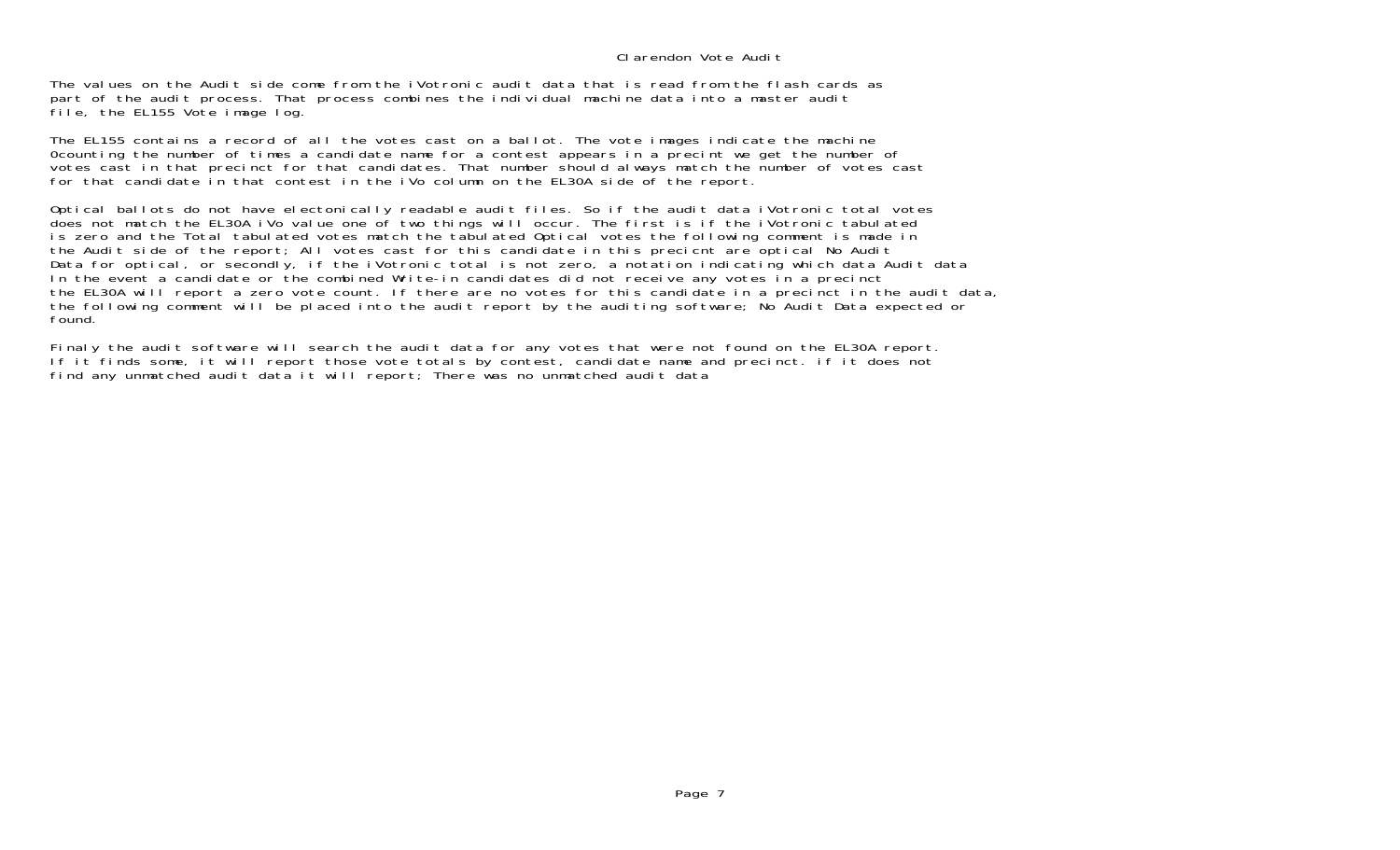The values on the Audit side come from the iVotronic audit data that is read from the flash cards as part of the audit process. That process combines the individual machine data into a master audit file, the EL155 Vote image log.

The EL155 contains a record of all the votes cast on a ballot. The vote images indicate the machine 0counting the number of times a candidate name for a contest appears in a precint we get the number of votes cast in that precinct for that candidates. That number should always match the number of votes cast for that candidate in that contest in the iVo column on the EL30A side of the report.

Optical ballots do not have electonically readable audit files. So if the audit data iVotronic total votes does not match the EL30A iVo value one of two things will occur. The first is if the iVotronic tabulated is zero and the Total tabulated votes match the tabulated Optical votes the following comment is made in the Audit side of the report; All votes cast for this candidate in this precicnt are optical No Audit Data for optical, or secondly, if the iVotronic total is not zero, a notation indicating which data Audit data In the event a candidate or the combined Write-in candidates did not receive any votes in a precinct the EL30A will report a zero vote count. If there are no votes for this candidate in a precinct in the audit data, the following comment will be placed into the audit report by the auditing software; No Audit Data expected or found.

Finaly the audit software will search the audit data for any votes that were not found on the EL30A report. If it finds some, it will report those vote totals by contest, candidate name and precinct. if it does not find any unmatched audit data it will report; There was no unmatched audit data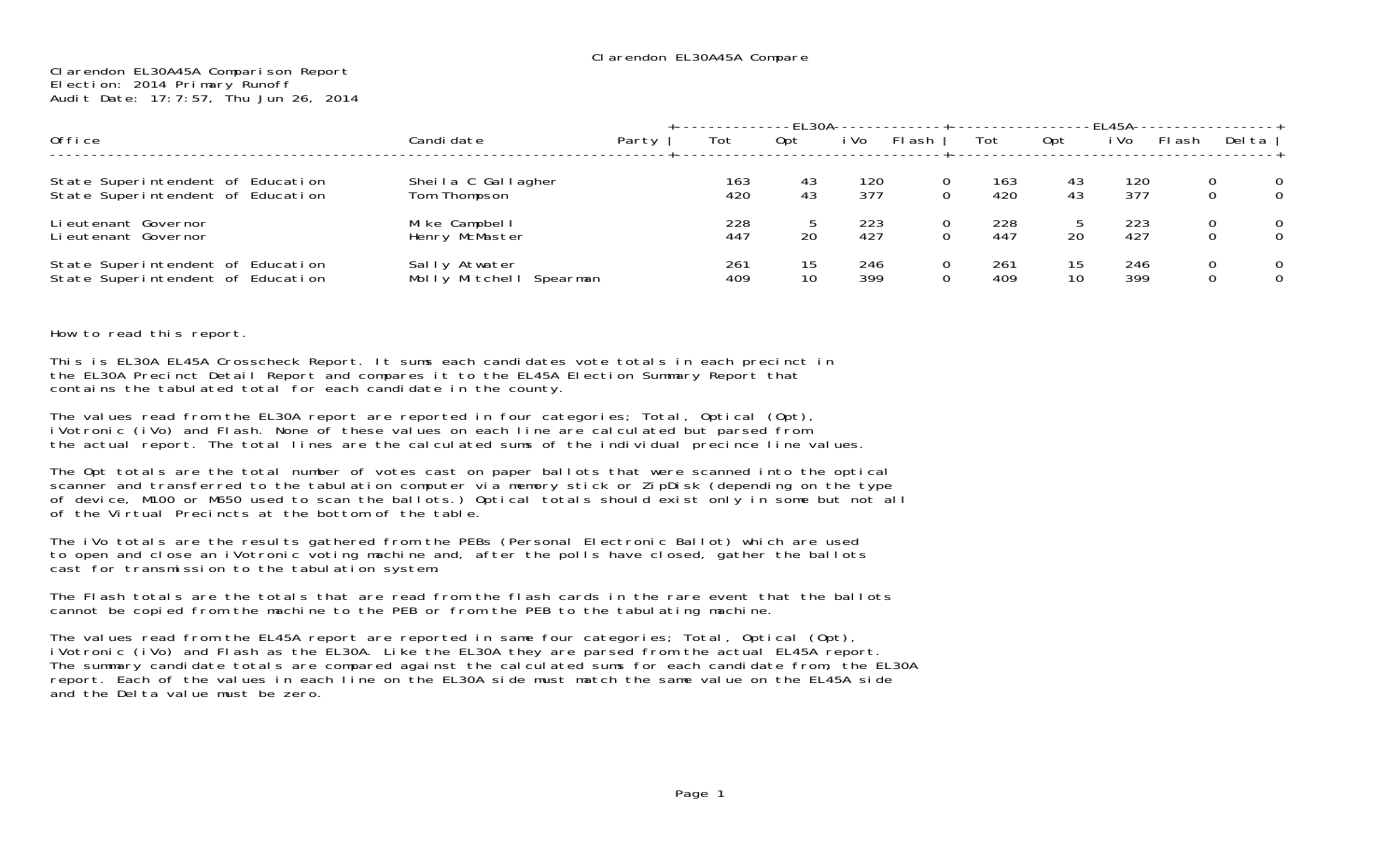## Clarendon EL30A45A Comparison Report Election: 2014 Primary Runoff Audit Date: 17:7:57, Thu Jun 26, 2014

|                                                                        |                                          |       |            | -FI 30A-- |            |        |            |          |            |        |         |               |
|------------------------------------------------------------------------|------------------------------------------|-------|------------|-----------|------------|--------|------------|----------|------------|--------|---------|---------------|
| Office                                                                 | Candi date                               | Party | Tot        | Opt       | i Vo       | FI ash | Tot        | Opt      | i Vo       | FI ash | Delta ' |               |
| State Superintendent of Education<br>State Superintendent of Education | Sheila C Gallagher<br>Tom Thompson       |       | 163<br>420 | 43<br>43  | 120<br>377 | 0<br>0 | 163<br>420 | 43<br>43 | 120<br>377 |        | 0<br>0  | 0<br>$\Omega$ |
| Li eutenant Governor<br>Lieutenant Governor                            | Mike Campbell<br>Henry McMaster          |       | 228<br>447 | 20        | 223<br>427 |        | 228<br>447 | 20       | 223<br>427 |        | 0<br>0  | 0<br>0        |
| State Superintendent of Education<br>State Superintendent of Education | Sally Atwater<br>Molly Mitchell Spearman |       | 261<br>409 | 15<br>10  | 246<br>399 | O<br>0 | 261<br>409 | 15<br>10 | 246<br>399 |        | 0<br>0  | 0<br>0        |

How to read this report.

This is EL30A EL45A Crosscheck Report. It sums each candidates vote totals in each precinct in the EL30A Precinct Detail Report and compares it to the EL45A Election Summary Report that contains the tabulated total for each candidate in the county.

The values read from the EL30A report are reported in four categories; Total, Optical (Opt), iVotronic (iVo) and Flash. None of these values on each line are calculated but parsed from the actual report. The total lines are the calculated sums of the individual precince line values.

The Opt totals are the total number of votes cast on paper ballots that were scanned into the optical scanner and transferred to the tabulation computer via memory stick or ZipDisk (depending on the type of device, M100 or M650 used to scan the ballots.) Optical totals should exist only in some but not all of the Virtual Precincts at the bottom of the table.

The iVo totals are the results gathered from the PEBs (Personal Electronic Ballot) which are used to open and close an iVotronic voting machine and, after the polls have closed, gather the ballots cast for transmission to the tabulation system.

The Flash totals are the totals that are read from the flash cards in the rare event that the ballots cannot be copied from the machine to the PEB or from the PEB to the tabulating machine.

The values read from the EL45A report are reported in same four categories; Total, Optical (Opt), iVotronic (iVo) and Flash as the EL30A. Like the EL30A they are parsed from the actual EL45A report. The summary candidate totals are compared against the calculated sums for each candidate from, the EL30A report. Each of the values in each line on the EL30A side must match the same value on the EL45A side and the Delta value must be zero.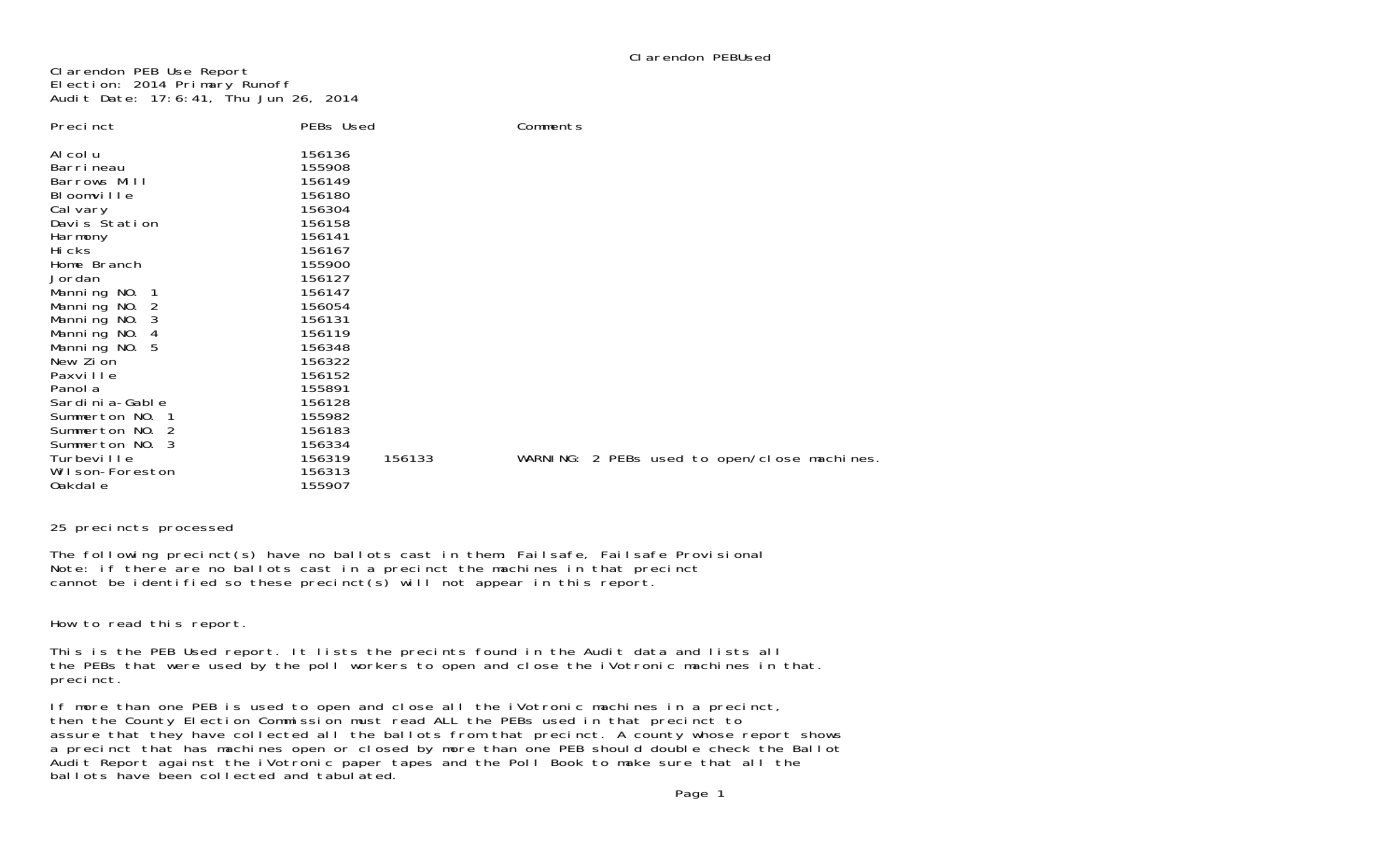Clarendon PEB Use Report Election: 2014 Primary Runoff Audit Date: 17:6:41, Thu Jun 26, 2014

| Precinct                                                                                                                                                                                                                         | PEBs Used                                                                                                                                                    | Comments                                    |  |
|----------------------------------------------------------------------------------------------------------------------------------------------------------------------------------------------------------------------------------|--------------------------------------------------------------------------------------------------------------------------------------------------------------|---------------------------------------------|--|
| Al col u<br>Barri neau<br>Barrows Mill<br>Bloomville<br>Cal vary<br>Davis Station<br>Harmony<br>Hi cks<br>Home Branch<br>Jordan<br>Manning NO. 1<br>Manning NO. 2<br>Manning NO. 3<br>Manning NO. 4<br>Manning NO. 5<br>New Zion | 156136<br>155908<br>156149<br>156180<br>156304<br>156158<br>156141<br>156167<br>155900<br>156127<br>156147<br>156054<br>156131<br>156119<br>156348<br>156322 |                                             |  |
| Paxville                                                                                                                                                                                                                         | 156152                                                                                                                                                       |                                             |  |
| Panol a<br>Sardi ni a-Gabl e<br>Summerton NO. 1<br>Summerton NO. 2<br>Summerton NO. 3<br>Turbeville<br>Wilson-Foreston<br>0akdal e                                                                                               | 155891<br>156128<br>155982<br>156183<br>156334<br>156133<br>156319<br>156313<br>155907                                                                       | WARNING: 2 PEBs used to open/close machines |  |
|                                                                                                                                                                                                                                  |                                                                                                                                                              |                                             |  |

## 25 precincts processed

The following precinct(s) have no ballots cast in them: Failsafe, Failsafe Provisional Note: if there are no ballots cast in a precinct the machines in that precinct cannot be identified so these precinct(s) will not appear in this report.

How to read this report.

This is the PEB Used report. It lists the precints found in the Audit data and lists all the PEBs that were used by the poll workers to open and close the iVotronic machines in that. precinct.

If more than one PEB is used to open and close all the iVotronic machines in a precinct, then the County Election Commission must read ALL the PEBs used in that precinct to assure that they have collected all the ballots from that precinct. A county whose report shows a precinct that has machines open or closed by more than one PEB should double check the Ballot Audit Report against the iVotronic paper tapes and the Poll Book to make sure that all the ballots have been collected and tabulated.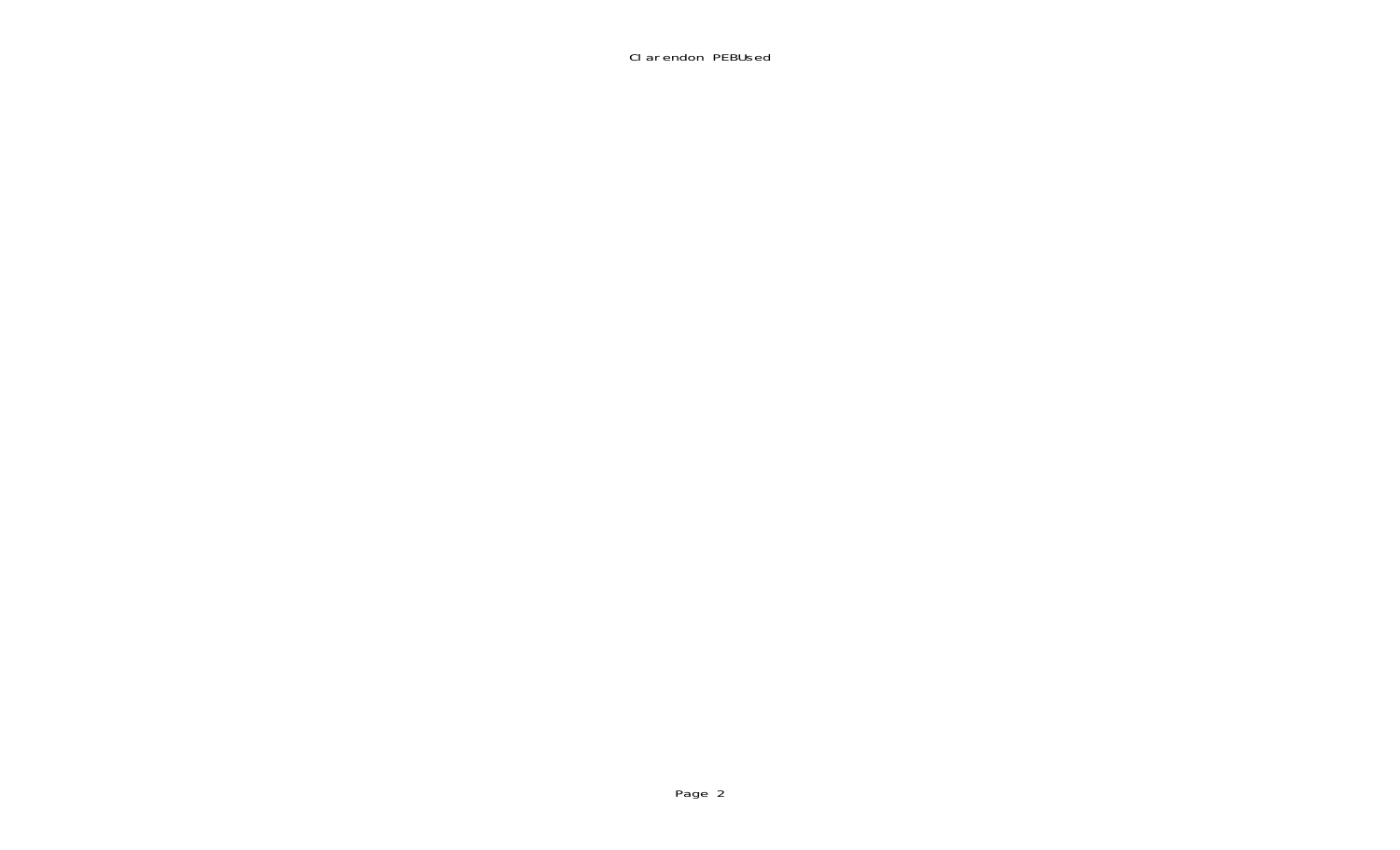Clarendon PEBUsed